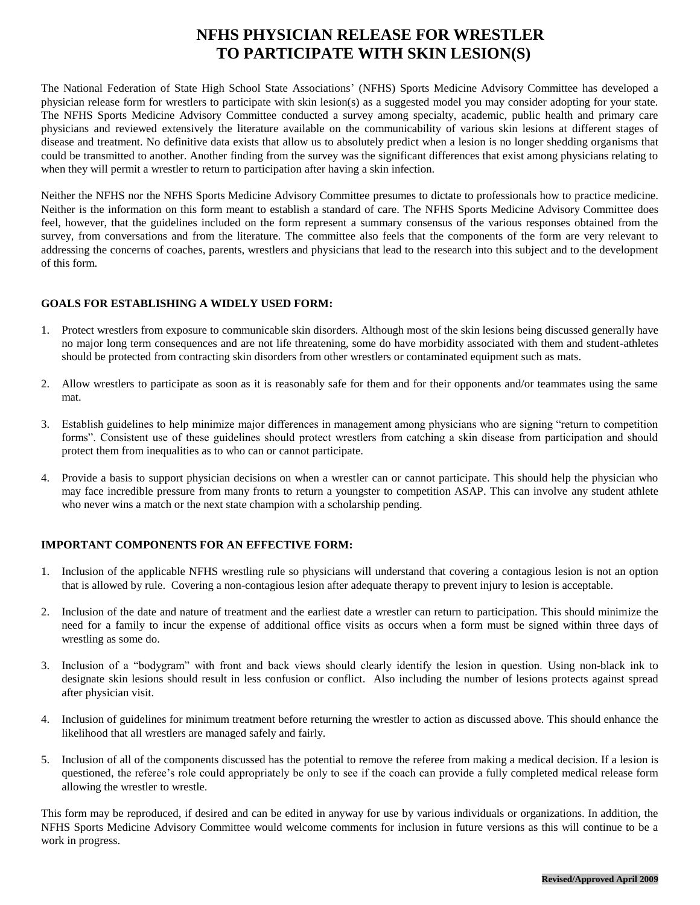## **NFHS PHYSICIAN RELEASE FOR WRESTLER TO PARTICIPATE WITH SKIN LESION(S)**

The National Federation of State High School State Associations' (NFHS) Sports Medicine Advisory Committee has developed a physician release form for wrestlers to participate with skin lesion(s) as a suggested model you may consider adopting for your state. The NFHS Sports Medicine Advisory Committee conducted a survey among specialty, academic, public health and primary care physicians and reviewed extensively the literature available on the communicability of various skin lesions at different stages of disease and treatment. No definitive data exists that allow us to absolutely predict when a lesion is no longer shedding organisms that could be transmitted to another. Another finding from the survey was the significant differences that exist among physicians relating to when they will permit a wrestler to return to participation after having a skin infection.

Neither the NFHS nor the NFHS Sports Medicine Advisory Committee presumes to dictate to professionals how to practice medicine. Neither is the information on this form meant to establish a standard of care. The NFHS Sports Medicine Advisory Committee does feel, however, that the guidelines included on the form represent a summary consensus of the various responses obtained from the survey, from conversations and from the literature. The committee also feels that the components of the form are very relevant to addressing the concerns of coaches, parents, wrestlers and physicians that lead to the research into this subject and to the development of this form.

## **GOALS FOR ESTABLISHING A WIDELY USED FORM:**

- 1. Protect wrestlers from exposure to communicable skin disorders. Although most of the skin lesions being discussed generally have no major long term consequences and are not life threatening, some do have morbidity associated with them and student-athletes should be protected from contracting skin disorders from other wrestlers or contaminated equipment such as mats.
- 2. Allow wrestlers to participate as soon as it is reasonably safe for them and for their opponents and/or teammates using the same mat.
- 3. Establish guidelines to help minimize major differences in management among physicians who are signing "return to competition forms". Consistent use of these guidelines should protect wrestlers from catching a skin disease from participation and should protect them from inequalities as to who can or cannot participate.
- 4. Provide a basis to support physician decisions on when a wrestler can or cannot participate. This should help the physician who may face incredible pressure from many fronts to return a youngster to competition ASAP. This can involve any student athlete who never wins a match or the next state champion with a scholarship pending.

## **IMPORTANT COMPONENTS FOR AN EFFECTIVE FORM:**

- 1. Inclusion of the applicable NFHS wrestling rule so physicians will understand that covering a contagious lesion is not an option that is allowed by rule. Covering a non-contagious lesion after adequate therapy to prevent injury to lesion is acceptable.
- 2. Inclusion of the date and nature of treatment and the earliest date a wrestler can return to participation. This should minimize the need for a family to incur the expense of additional office visits as occurs when a form must be signed within three days of wrestling as some do.
- 3. Inclusion of a "bodygram" with front and back views should clearly identify the lesion in question. Using non-black ink to designate skin lesions should result in less confusion or conflict. Also including the number of lesions protects against spread after physician visit.
- 4. Inclusion of guidelines for minimum treatment before returning the wrestler to action as discussed above. This should enhance the likelihood that all wrestlers are managed safely and fairly.
- 5. Inclusion of all of the components discussed has the potential to remove the referee from making a medical decision. If a lesion is questioned, the referee's role could appropriately be only to see if the coach can provide a fully completed medical release form allowing the wrestler to wrestle.

This form may be reproduced, if desired and can be edited in anyway for use by various individuals or organizations. In addition, the NFHS Sports Medicine Advisory Committee would welcome comments for inclusion in future versions as this will continue to be a work in progress.